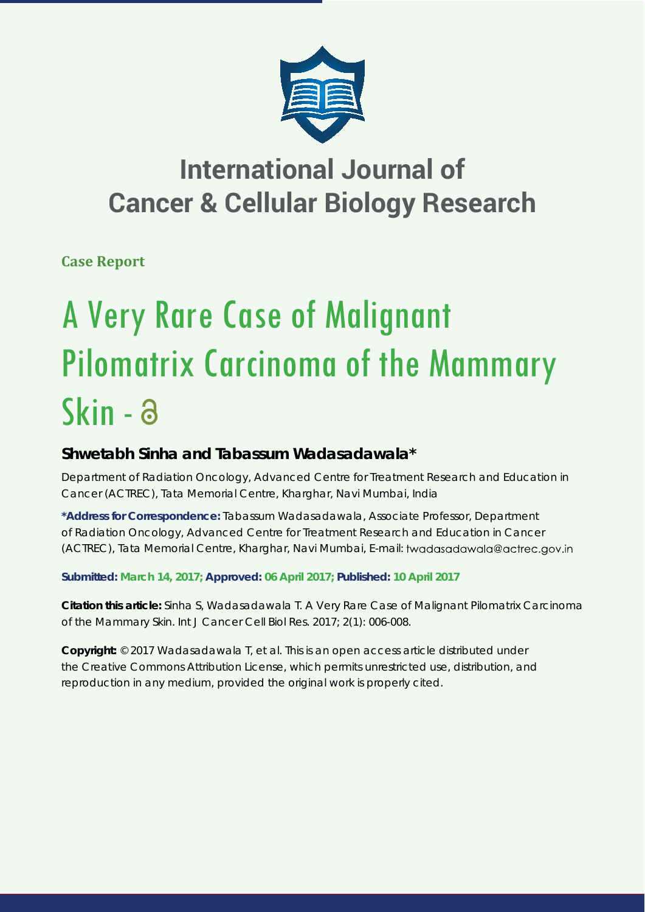

## **International Journal of Cancer & Cellular Biology Research**

**Case Report**

# A Very Rare Case of Malignant Pilomatrix Carcinoma of the Mammary Skin - a

### **Shwetabh Sinha and Tabassum Wadasadawala\***

*Department of Radiation Oncology, Advanced Centre for Treatment Research and Education in Cancer (ACTREC), Tata Memorial Centre, Kharghar, Navi Mumbai, India*

**\*Address for Correspondence:** Tabassum Wadasadawala, Associate Professor, Department of Radiation Oncology, Advanced Centre for Treatment Research and Education in Cancer (ACTREC), Tata Memorial Centre, Kharghar, Navi Mumbai, E-mail:

**Submitted: March 14, 2017; Approved: 06 April 2017; Published: 10 April 2017**

**Citation this article:** Sinha S, Wadasadawala T. A Very Rare Case of Malignant Pilomatrix Carcinoma of the Mammary Skin. Int J Cancer Cell Biol Res. 2017; 2(1): 006-008.

**Copyright:** © 2017 Wadasadawala T, et al. This is an open access article distributed under the Creative Commons Attribution License, which permits unrestricted use, distribution, and reproduction in any medium, provided the original work is properly cited.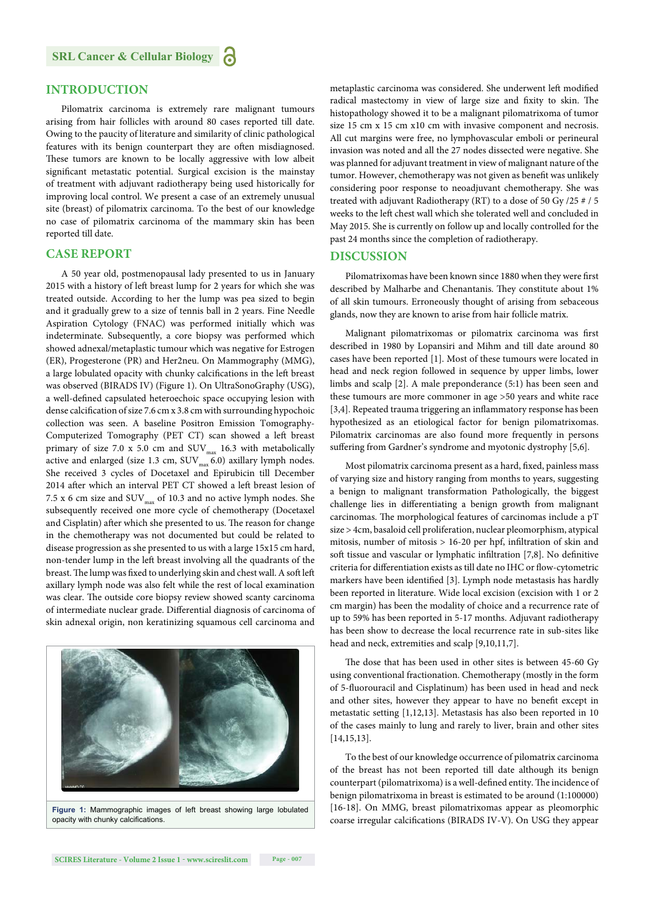#### **INTRODUCTION**

Pilomatrix carcinoma is extremely rare malignant tumours arising from hair follicles with around 80 cases reported till date. Owing to the paucity of literature and similarity of clinic pathological features with its benign counterpart they are often misdiagnosed. These tumors are known to be locally aggressive with low albeit significant metastatic potential. Surgical excision is the mainstay of treatment with adjuvant radiotherapy being used historically for improving local control. We present a case of an extremely unusual site (breast) of pilomatrix carcinoma. To the best of our knowledge no case of pilomatrix carcinoma of the mammary skin has been reported till date.

#### **CASE REPORT**

A 50 year old, postmenopausal lady presented to us in January 2015 with a history of left breast lump for 2 years for which she was treated outside. According to her the lump was pea sized to begin and it gradually grew to a size of tennis ball in 2 years. Fine Needle Aspiration Cytology (FNAC) was performed initially which was indeterminate. Subsequently, a core biopsy was performed which showed adnexal/metaplastic tumour which was negative for Estrogen (ER), Progesterone (PR) and Her2neu. On Mammography (MMG), a large lobulated opacity with chunky calcifications in the left breast was observed (BIRADS IV) (Figure 1). On UltraSonoGraphy (USG), a well-defined capsulated heteroechoic space occupying lesion with dense calcification of size 7.6 cm x 3.8 cm with surrounding hypochoic collection was seen. A baseline Positron Emission Tomography-Computerized Tomography (PET CT) scan showed a left breast primary of size 7.0 x 5.0 cm and  $\text{SUV}_{\text{max}}$  16.3 with metabolically active and enlarged (size 1.3 cm,  $\mathrm{SUV}_\mathrm{max}$  6.0) axillary lymph nodes. She received 3 cycles of Docetaxel and Epirubicin till December 2014 after which an interval PET CT showed a left breast lesion of 7.5 x 6 cm size and  $\text{SUV}_{\text{max}}$  of 10.3 and no active lymph nodes. She subsequently received one more cycle of chemotherapy (Docetaxel and Cisplatin) after which she presented to us. The reason for change in the chemotherapy was not documented but could be related to disease progression as she presented to us with a large 15x15 cm hard, non-tender lump in the left breast involving all the quadrants of the breast. The lump was fixed to underlying skin and chest wall. A soft left axillary lymph node was also felt while the rest of local examination was clear. The outside core biopsy review showed scanty carcinoma of intermediate nuclear grade. Differential diagnosis of carcinoma of skin adnexal origin, non keratinizing squamous cell carcinoma and



**Figure 1:** Mammographic images of left breast showing large lobulated opacity with chunky calcifications.

metaplastic carcinoma was considered. She underwent left modified radical mastectomy in view of large size and fixity to skin. The histopathology showed it to be a malignant pilomatrixoma of tumor size 15 cm x 15 cm x10 cm with invasive component and necrosis. All cut margins were free, no lymphovascular emboli or perineural invasion was noted and all the 27 nodes dissected were negative. She was planned for adjuvant treatment in view of malignant nature of the tumor. However, chemotherapy was not given as benefit was unlikely considering poor response to neoadjuvant chemotherapy. She was treated with adjuvant Radiotherapy (RT) to a dose of 50 Gy /25 # / 5 weeks to the left chest wall which she tolerated well and concluded in May 2015. She is currently on follow up and locally controlled for the past 24 months since the completion of radiotherapy.

#### **DISCUSSION**

Pilomatrixomas have been known since 1880 when they were first described by Malharbe and Chenantanis. They constitute about 1% of all skin tumours. Erroneously thought of arising from sebaceous glands, now they are known to arise from hair follicle matrix.

Malignant pilomatrixomas or pilomatrix carcinoma was first described in 1980 by Lopansiri and Mihm and till date around 80 cases have been reported [1]. Most of these tumours were located in head and neck region followed in sequence by upper limbs, lower limbs and scalp [2]. A male preponderance (5:1) has been seen and these tumours are more commoner in age >50 years and white race [3,4]. Repeated trauma triggering an inflammatory response has been hypothesized as an etiological factor for benign pilomatrixomas. Pilomatrix carcinomas are also found more frequently in persons suffering from Gardner's syndrome and myotonic dystrophy [5,6].

Most pilomatrix carcinoma present as a hard, fixed, painless mass of varying size and history ranging from months to years, suggesting a benign to malignant transformation Pathologically, the biggest challenge lies in differentiating a benign growth from malignant carcinomas. The morphological features of carcinomas include a pT size > 4cm, basaloid cell proliferation, nuclear pleomorphism, atypical mitosis, number of mitosis  $> 16-20$  per hpf, infiltration of skin and soft tissue and vascular or lymphatic infiltration [7,8]. No definitive criteria for differentiation exists as till date no IHC or flow-cytometric markers have been identified [3]. Lymph node metastasis has hardly been reported in literature. Wide local excision (excision with 1 or 2 cm margin) has been the modality of choice and a recurrence rate of up to 59% has been reported in 5-17 months. Adjuvant radiotherapy has been show to decrease the local recurrence rate in sub-sites like head and neck, extremities and scalp [9,10,11,7].

The dose that has been used in other sites is between 45-60 Gy using conventional fractionation. Chemotherapy (mostly in the form of 5-fluorouracil and Cisplatinum) has been used in head and neck and other sites, however they appear to have no benefit except in metastatic setting [1,12,13]. Metastasis has also been reported in 10 of the cases mainly to lung and rarely to liver, brain and other sites [14,15,13].

To the best of our knowledge occurrence of pilomatrix carcinoma of the breast has not been reported till date although its benign counterpart (pilomatrixoma) is a well-defined entity. The incidence of benign pilomatrixoma in breast is estimated to be around (1:100000) [16-18]. On MMG, breast pilomatrixomas appear as pleomorphic coarse irregular calcifications (BIRADS IV-V). On USG they appear